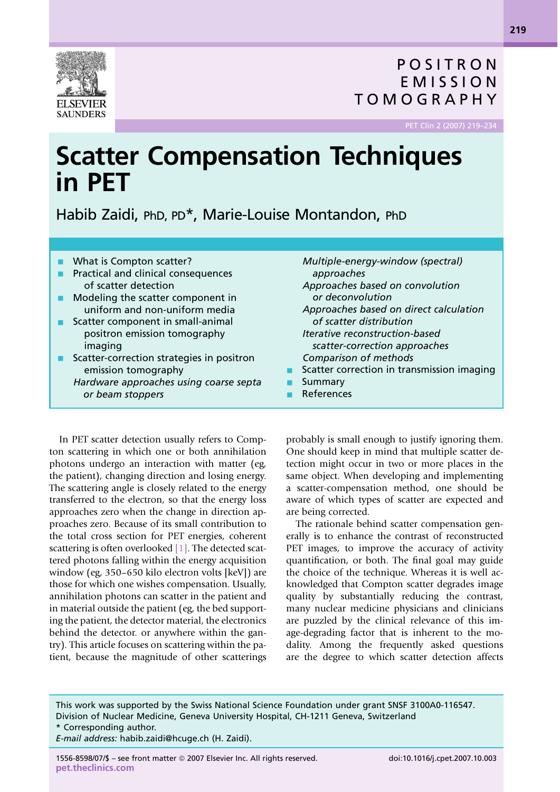

# Scatter Compensation Techniques in PET

Habib Zaidi, PhD, PD\*, Marie-Louise Montandon, PhD

- What is Compton scatter?
- **Practical and clinical consequences** of scatter detection
- $\blacksquare$  Modeling the scatter component in uniform and non-uniform media
- Scatter component in small-animal positron emission tomography imaging
- Scatter-correction strategies in positron emission tomography Hardware approaches using coarse septa or beam stoppers

In PET scatter detection usually refers to Compton scattering in which one or both annihilation photons undergo an interaction with matter (eg, the patient), changing direction and losing energy. The scattering angle is closely related to the energy transferred to the electron, so that the energy loss approaches zero when the change in direction approaches zero. Because of its small contribution to the total cross section for PET energies, coherent scattering is often overlooked [1]. The detected scattered photons falling within the energy acquisition window (eg, 350–650 kilo electron volts [keV]) are those for which one wishes compensation. Usually, annihilation photons can scatter in the patient and in material outside the patient (eg, the bed supporting the patient, the detector material, the electronics behind the detector. or anywhere within the gantry). This article focuses on scattering within the patient, because the magnitude of other scatterings

| Multiple-energy-window (spectral)          |
|--------------------------------------------|
| approaches                                 |
| Approaches based on convolution            |
| or deconvolution                           |
| Approaches based on direct calculation     |
| of scatter distribution                    |
| Iterative reconstruction-based             |
| scatter-correction approaches              |
| Comparison of methods                      |
| Scatter correction in transmission imaging |
| Summary                                    |
|                                            |

**References** 

probably is small enough to justify ignoring them. One should keep in mind that multiple scatter detection might occur in two or more places in the same object. When developing and implementing a scatter-compensation method, one should be aware of which types of scatter are expected and are being corrected.

The rationale behind scatter compensation generally is to enhance the contrast of reconstructed PET images, to improve the accuracy of activity quantification, or both. The final goal may guide the choice of the technique. Whereas it is well acknowledged that Compton scatter degrades image quality by substantially reducing the contrast, many nuclear medicine physicians and clinicians are puzzled by the clinical relevance of this image-degrading factor that is inherent to the modality. Among the frequently asked questions are the degree to which scatter detection affects

This work was supported by the Swiss National Science Foundation under grant SNSF 3100A0-116547. Division of Nuclear Medicine, Geneva University Hospital, CH-1211 Geneva, Switzerland \* Corresponding author.

E-mail address: habib.zaidi@hcuge.ch (H. Zaidi).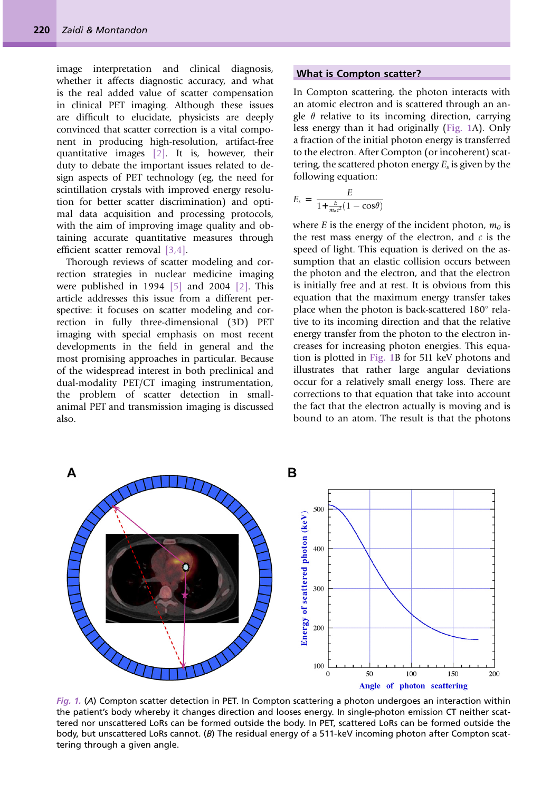image interpretation and clinical diagnosis, whether it affects diagnostic accuracy, and what is the real added value of scatter compensation in clinical PET imaging. Although these issues are difficult to elucidate, physicists are deeply convinced that scatter correction is a vital component in producing high-resolution, artifact-free quantitative images [2]. It is, however, their duty to debate the important issues related to design aspects of PET technology (eg, the need for scintillation crystals with improved energy resolution for better scatter discrimination) and optimal data acquisition and processing protocols, with the aim of improving image quality and obtaining accurate quantitative measures through efficient scatter removal [3,4].

Thorough reviews of scatter modeling and correction strategies in nuclear medicine imaging were published in 1994 [5] and 2004 [2]. This article addresses this issue from a different perspective: it focuses on scatter modeling and correction in fully three-dimensional (3D) PET imaging with special emphasis on most recent developments in the field in general and the most promising approaches in particular. Because of the widespread interest in both preclinical and dual-modality PET/CT imaging instrumentation, the problem of scatter detection in smallanimal PET and transmission imaging is discussed also.

#### What is Compton scatter?

In Compton scattering, the photon interacts with an atomic electron and is scattered through an angle  $\theta$  relative to its incoming direction, carrying less energy than it had originally (Fig. 1A). Only a fraction of the initial photon energy is transferred to the electron. After Compton (or incoherent) scattering, the scattered photon energy  $E_s$  is given by the following equation:

$$
E_s = \frac{E}{1 + \frac{E}{m_o c^2} (1 - \cos \theta)}
$$

where E is the energy of the incident photon,  $m_0$  is the rest mass energy of the electron, and  $c$  is the speed of light. This equation is derived on the assumption that an elastic collision occurs between the photon and the electron, and that the electron is initially free and at rest. It is obvious from this equation that the maximum energy transfer takes place when the photon is back-scattered  $180^\circ$  relative to its incoming direction and that the relative energy transfer from the photon to the electron increases for increasing photon energies. This equation is plotted in Fig. 1B for 511 keV photons and illustrates that rather large angular deviations occur for a relatively small energy loss. There are corrections to that equation that take into account the fact that the electron actually is moving and is bound to an atom. The result is that the photons



Fig. 1. (A) Compton scatter detection in PET. In Compton scattering a photon undergoes an interaction within the patient's body whereby it changes direction and looses energy. In single-photon emission CT neither scattered nor unscattered LoRs can be formed outside the body. In PET, scattered LoRs can be formed outside the body, but unscattered LoRs cannot. (B) The residual energy of a 511-keV incoming photon after Compton scattering through a given angle.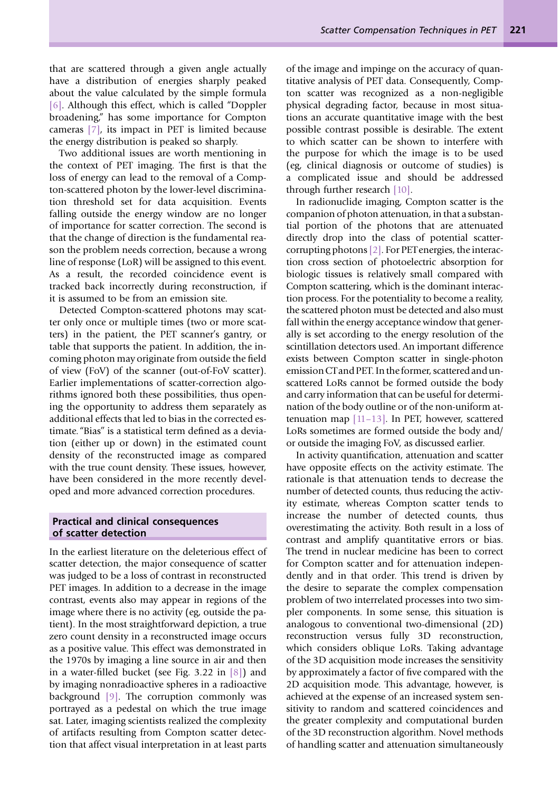that are scattered through a given angle actually have a distribution of energies sharply peaked about the value calculated by the simple formula [6]. Although this effect, which is called ''Doppler broadening,'' has some importance for Compton cameras [7], its impact in PET is limited because the energy distribution is peaked so sharply.

Two additional issues are worth mentioning in the context of PET imaging. The first is that the loss of energy can lead to the removal of a Compton-scattered photon by the lower-level discrimination threshold set for data acquisition. Events falling outside the energy window are no longer of importance for scatter correction. The second is that the change of direction is the fundamental reason the problem needs correction, because a wrong line of response (LoR) will be assigned to this event. As a result, the recorded coincidence event is tracked back incorrectly during reconstruction, if it is assumed to be from an emission site.

Detected Compton-scattered photons may scatter only once or multiple times (two or more scatters) in the patient, the PET scanner's gantry, or table that supports the patient. In addition, the incoming photon may originate from outside the field of view (FoV) of the scanner (out-of-FoV scatter). Earlier implementations of scatter-correction algorithms ignored both these possibilities, thus opening the opportunity to address them separately as additional effects that led to bias in the corrected estimate.''Bias'' is a statistical term defined as a deviation (either up or down) in the estimated count density of the reconstructed image as compared with the true count density. These issues, however, have been considered in the more recently developed and more advanced correction procedures.

## Practical and clinical consequences of scatter detection

In the earliest literature on the deleterious effect of scatter detection, the major consequence of scatter was judged to be a loss of contrast in reconstructed PET images. In addition to a decrease in the image contrast, events also may appear in regions of the image where there is no activity (eg, outside the patient). In the most straightforward depiction, a true zero count density in a reconstructed image occurs as a positive value. This effect was demonstrated in the 1970s by imaging a line source in air and then in a water-filled bucket (see Fig. 3.22 in [8]) and by imaging nonradioactive spheres in a radioactive background [9]. The corruption commonly was portrayed as a pedestal on which the true image sat. Later, imaging scientists realized the complexity of artifacts resulting from Compton scatter detection that affect visual interpretation in at least parts

of the image and impinge on the accuracy of quantitative analysis of PET data. Consequently, Compton scatter was recognized as a non-negligible physical degrading factor, because in most situations an accurate quantitative image with the best possible contrast possible is desirable. The extent to which scatter can be shown to interfere with the purpose for which the image is to be used (eg, clinical diagnosis or outcome of studies) is a complicated issue and should be addressed through further research [10].

In radionuclide imaging, Compton scatter is the companion of photon attenuation, in that a substantial portion of the photons that are attenuated directly drop into the class of potential scattercorrupting photons  $[2]$ . For PET energies, the interaction cross section of photoelectric absorption for biologic tissues is relatively small compared with Compton scattering, which is the dominant interaction process. For the potentiality to become a reality, the scattered photon must be detected and also must fall within the energy acceptance window that generally is set according to the energy resolution of the scintillation detectors used. An important difference exists between Compton scatter in single-photon emission CTand PET. In the former, scattered and unscattered LoRs cannot be formed outside the body and carry information that can be useful for determination of the body outline or of the non-uniform attenuation map [11–13]. In PET, however, scattered LoRs sometimes are formed outside the body and/ or outside the imaging FoV, as discussed earlier.

In activity quantification, attenuation and scatter have opposite effects on the activity estimate. The rationale is that attenuation tends to decrease the number of detected counts, thus reducing the activity estimate, whereas Compton scatter tends to increase the number of detected counts, thus overestimating the activity. Both result in a loss of contrast and amplify quantitative errors or bias. The trend in nuclear medicine has been to correct for Compton scatter and for attenuation independently and in that order. This trend is driven by the desire to separate the complex compensation problem of two interrelated processes into two simpler components. In some sense, this situation is analogous to conventional two-dimensional (2D) reconstruction versus fully 3D reconstruction, which considers oblique LoRs. Taking advantage of the 3D acquisition mode increases the sensitivity by approximately a factor of five compared with the 2D acquisition mode. This advantage, however, is achieved at the expense of an increased system sensitivity to random and scattered coincidences and the greater complexity and computational burden of the 3D reconstruction algorithm. Novel methods of handling scatter and attenuation simultaneously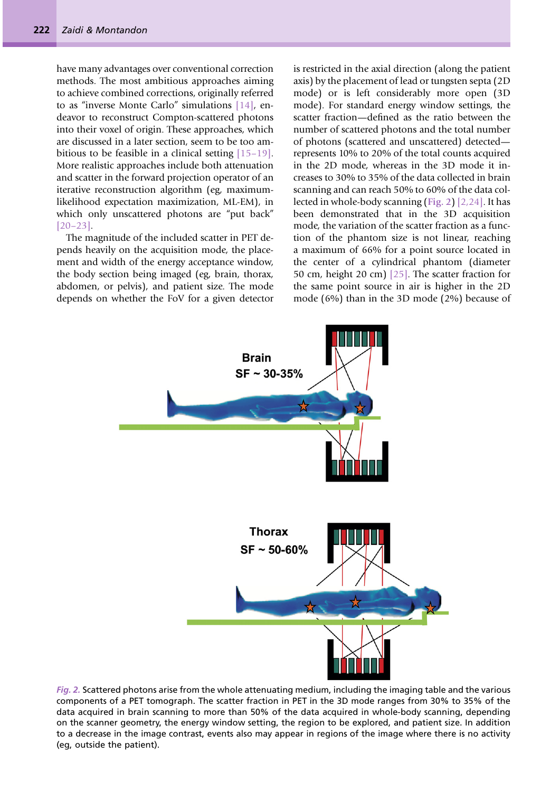have many advantages over conventional correction methods. The most ambitious approaches aiming to achieve combined corrections, originally referred to as ''inverse Monte Carlo'' simulations [14], endeavor to reconstruct Compton-scattered photons into their voxel of origin. These approaches, which are discussed in a later section, seem to be too ambitious to be feasible in a clinical setting [15–19]. More realistic approaches include both attenuation and scatter in the forward projection operator of an iterative reconstruction algorithm (eg, maximumlikelihood expectation maximization, ML-EM), in which only unscattered photons are "put back" [20–23].

The magnitude of the included scatter in PET depends heavily on the acquisition mode, the placement and width of the energy acceptance window, the body section being imaged (eg, brain, thorax, abdomen, or pelvis), and patient size. The mode depends on whether the FoV for a given detector is restricted in the axial direction (along the patient axis) by the placement of lead or tungsten septa (2D mode) or is left considerably more open (3D mode). For standard energy window settings, the scatter fraction—defined as the ratio between the number of scattered photons and the total number of photons (scattered and unscattered) detected represents 10% to 20% of the total counts acquired in the 2D mode, whereas in the 3D mode it increases to 30% to 35% of the data collected in brain scanning and can reach 50% to 60% of the data collected in whole-body scanning (Fig. 2) [2,24]. It has been demonstrated that in the 3D acquisition mode, the variation of the scatter fraction as a function of the phantom size is not linear, reaching a maximum of 66% for a point source located in the center of a cylindrical phantom (diameter 50 cm, height 20 cm) [25]. The scatter fraction for the same point source in air is higher in the 2D mode (6%) than in the 3D mode (2%) because of



Fig. 2. Scattered photons arise from the whole attenuating medium, including the imaging table and the various components of a PET tomograph. The scatter fraction in PET in the 3D mode ranges from 30% to 35% of the data acquired in brain scanning to more than 50% of the data acquired in whole-body scanning, depending on the scanner geometry, the energy window setting, the region to be explored, and patient size. In addition to a decrease in the image contrast, events also may appear in regions of the image where there is no activity (eg, outside the patient).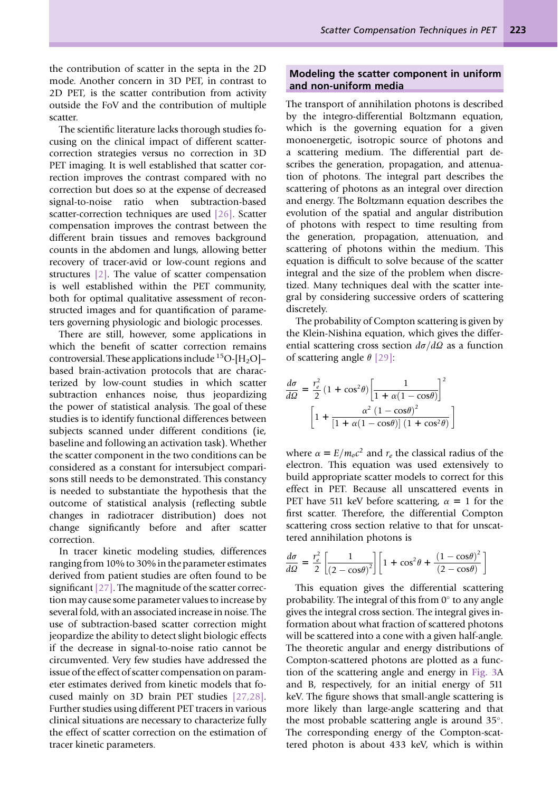the contribution of scatter in the septa in the 2D mode. Another concern in 3D PET, in contrast to 2D PET, is the scatter contribution from activity outside the FoV and the contribution of multiple scatter.

The scientific literature lacks thorough studies focusing on the clinical impact of different scattercorrection strategies versus no correction in 3D PET imaging. It is well established that scatter correction improves the contrast compared with no correction but does so at the expense of decreased signal-to-noise ratio when subtraction-based scatter-correction techniques are used [26]. Scatter compensation improves the contrast between the different brain tissues and removes background counts in the abdomen and lungs, allowing better recovery of tracer-avid or low-count regions and structures [2]. The value of scatter compensation is well established within the PET community, both for optimal qualitative assessment of reconstructed images and for quantification of parameters governing physiologic and biologic processes.

There are still, however, some applications in which the benefit of scatter correction remains controversial. These applications include  $^{15}O$ -[H<sub>2</sub>O]– based brain-activation protocols that are characterized by low-count studies in which scatter subtraction enhances noise, thus jeopardizing the power of statistical analysis. The goal of these studies is to identify functional differences between subjects scanned under different conditions (ie, baseline and following an activation task). Whether the scatter component in the two conditions can be considered as a constant for intersubject comparisons still needs to be demonstrated. This constancy is needed to substantiate the hypothesis that the outcome of statistical analysis (reflecting subtle changes in radiotracer distribution) does not change significantly before and after scatter correction.

In tracer kinetic modeling studies, differences ranging from 10% to 30% in the parameter estimates derived from patient studies are often found to be significant  $[27]$ . The magnitude of the scatter correction may cause some parameter values to increase by several fold, with an associated increase in noise. The use of subtraction-based scatter correction might jeopardize the ability to detect slight biologic effects if the decrease in signal-to-noise ratio cannot be circumvented. Very few studies have addressed the issue of the effect of scatter compensation on parameter estimates derived from kinetic models that focused mainly on 3D brain PET studies [27,28]. Further studies using different PET tracers in various clinical situations are necessary to characterize fully the effect of scatter correction on the estimation of tracer kinetic parameters.

# Modeling the scatter component in uniform and non-uniform media

The transport of annihilation photons is described by the integro-differential Boltzmann equation, which is the governing equation for a given monoenergetic, isotropic source of photons and a scattering medium. The differential part describes the generation, propagation, and attenuation of photons. The integral part describes the scattering of photons as an integral over direction and energy. The Boltzmann equation describes the evolution of the spatial and angular distribution of photons with respect to time resulting from the generation, propagation, attenuation, and scattering of photons within the medium. This equation is difficult to solve because of the scatter integral and the size of the problem when discretized. Many techniques deal with the scatter integral by considering successive orders of scattering discretely.

The probability of Compton scattering is given by the Klein-Nishina equation, which gives the differential scattering cross section  $d\sigma/d\Omega$  as a function of scattering angle  $\theta$  [29]:

$$
\frac{d\sigma}{d\Omega} = \frac{r_e^2}{2} \left( 1 + \cos^2 \theta \right) \left[ \frac{1}{1 + \alpha (1 - \cos \theta)} \right]^2
$$

$$
\left[ 1 + \frac{\alpha^2 \left( 1 - \cos \theta \right)^2}{\left[ 1 + \alpha (1 - \cos \theta) \right] \left( 1 + \cos^2 \theta \right)} \right]
$$

where  $\alpha = E/m_0c^2$  and  $r_e$  the classical radius of the electron. This equation was used extensively to build appropriate scatter models to correct for this effect in PET. Because all unscattered events in PET have 511 keV before scattering,  $\alpha = 1$  for the first scatter. Therefore, the differential Compton scattering cross section relative to that for unscattered annihilation photons is

$$
\frac{d\sigma}{d\Omega} = \frac{r_e^2}{2} \left[ \frac{1}{(2 - \cos\theta)^2} \right] \left[ 1 + \cos^2\theta + \frac{(1 - \cos\theta)^2}{(2 - \cos\theta)} \right]
$$

This equation gives the differential scattering probability. The integral of this from  $0^\circ$  to any angle gives the integral cross section. The integral gives information about what fraction of scattered photons will be scattered into a cone with a given half-angle. The theoretic angular and energy distributions of Compton-scattered photons are plotted as a function of the scattering angle and energy in Fig. 3A and B, respectively, for an initial energy of 511 keV. The figure shows that small-angle scattering is more likely than large-angle scattering and that the most probable scattering angle is around 35°. The corresponding energy of the Compton-scattered photon is about 433 keV, which is within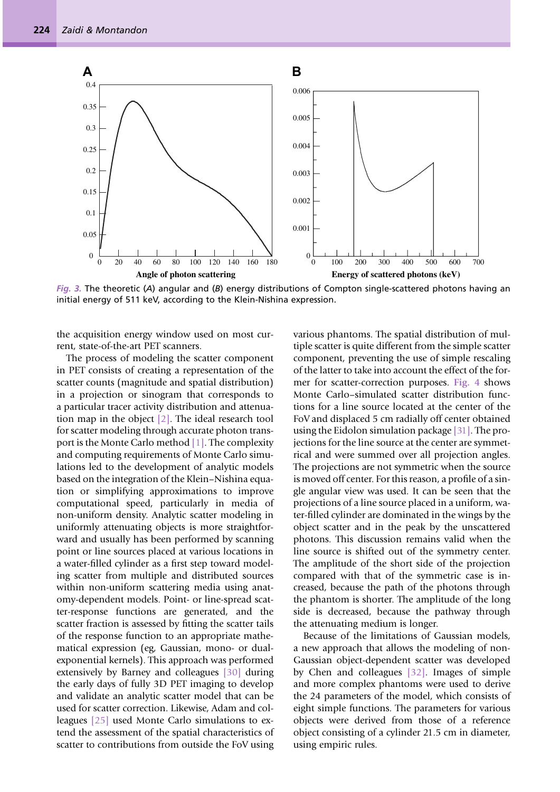

Fig. 3. The theoretic (A) angular and (B) energy distributions of Compton single-scattered photons having an initial energy of 511 keV, according to the Klein-Nishina expression.

the acquisition energy window used on most current, state-of-the-art PET scanners.

The process of modeling the scatter component in PET consists of creating a representation of the scatter counts (magnitude and spatial distribution) in a projection or sinogram that corresponds to a particular tracer activity distribution and attenuation map in the object [2]. The ideal research tool for scatter modeling through accurate photon transport is the Monte Carlo method [1]. The complexity and computing requirements of Monte Carlo simulations led to the development of analytic models based on the integration of the Klein–Nishina equation or simplifying approximations to improve computational speed, particularly in media of non-uniform density. Analytic scatter modeling in uniformly attenuating objects is more straightforward and usually has been performed by scanning point or line sources placed at various locations in a water-filled cylinder as a first step toward modeling scatter from multiple and distributed sources within non-uniform scattering media using anatomy-dependent models. Point- or line-spread scatter-response functions are generated, and the scatter fraction is assessed by fitting the scatter tails of the response function to an appropriate mathematical expression (eg, Gaussian, mono- or dualexponential kernels). This approach was performed extensively by Barney and colleagues [30] during the early days of fully 3D PET imaging to develop and validate an analytic scatter model that can be used for scatter correction. Likewise, Adam and colleagues [25] used Monte Carlo simulations to extend the assessment of the spatial characteristics of scatter to contributions from outside the FoV using

various phantoms. The spatial distribution of multiple scatter is quite different from the simple scatter component, preventing the use of simple rescaling of the latter to take into account the effect of the former for scatter-correction purposes. Fig. 4 shows Monte Carlo–simulated scatter distribution functions for a line source located at the center of the FoV and displaced 5 cm radially off center obtained using the Eidolon simulation package [31]. The projections for the line source at the center are symmetrical and were summed over all projection angles. The projections are not symmetric when the source is moved off center. For this reason, a profile of a single angular view was used. It can be seen that the projections of a line source placed in a uniform, water-filled cylinder are dominated in the wings by the object scatter and in the peak by the unscattered photons. This discussion remains valid when the line source is shifted out of the symmetry center. The amplitude of the short side of the projection compared with that of the symmetric case is increased, because the path of the photons through the phantom is shorter. The amplitude of the long side is decreased, because the pathway through the attenuating medium is longer.

Because of the limitations of Gaussian models, a new approach that allows the modeling of non-Gaussian object-dependent scatter was developed by Chen and colleagues [32]. Images of simple and more complex phantoms were used to derive the 24 parameters of the model, which consists of eight simple functions. The parameters for various objects were derived from those of a reference object consisting of a cylinder 21.5 cm in diameter, using empiric rules.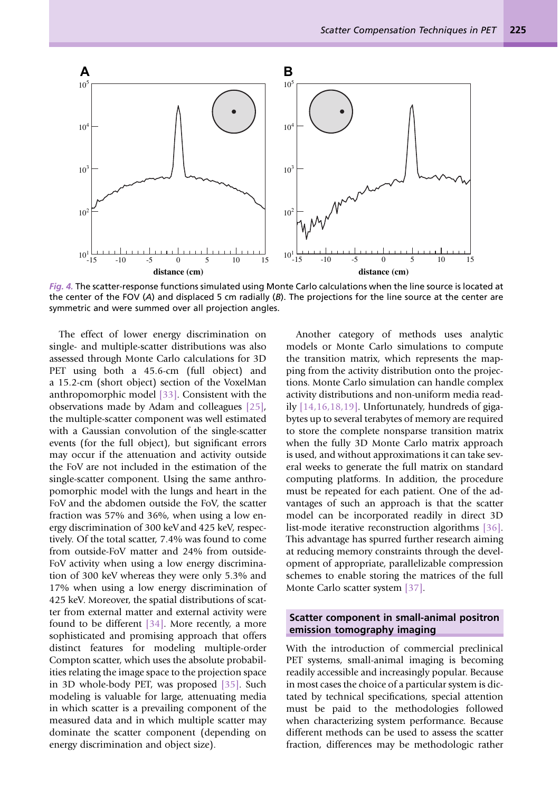

Fig. 4. The scatter-response functions simulated using Monte Carlo calculations when the line source is located at the center of the FOV (A) and displaced 5 cm radially (B). The projections for the line source at the center are symmetric and were summed over all projection angles.

The effect of lower energy discrimination on single- and multiple-scatter distributions was also assessed through Monte Carlo calculations for 3D PET using both a 45.6-cm (full object) and a 15.2-cm (short object) section of the VoxelMan anthropomorphic model [33]. Consistent with the observations made by Adam and colleagues [25], the multiple-scatter component was well estimated with a Gaussian convolution of the single-scatter events (for the full object), but significant errors may occur if the attenuation and activity outside the FoV are not included in the estimation of the single-scatter component. Using the same anthropomorphic model with the lungs and heart in the FoV and the abdomen outside the FoV, the scatter fraction was 57% and 36%, when using a low energy discrimination of 300 keV and 425 keV, respectively. Of the total scatter, 7.4% was found to come from outside-FoV matter and 24% from outside-FoV activity when using a low energy discrimination of 300 keV whereas they were only 5.3% and 17% when using a low energy discrimination of 425 keV. Moreover, the spatial distributions of scatter from external matter and external activity were found to be different [34]. More recently, a more sophisticated and promising approach that offers distinct features for modeling multiple-order Compton scatter, which uses the absolute probabilities relating the image space to the projection space in 3D whole-body PET, was proposed [35]. Such modeling is valuable for large, attenuating media in which scatter is a prevailing component of the measured data and in which multiple scatter may dominate the scatter component (depending on energy discrimination and object size).

Another category of methods uses analytic models or Monte Carlo simulations to compute the transition matrix, which represents the mapping from the activity distribution onto the projections. Monte Carlo simulation can handle complex activity distributions and non-uniform media readily [14,16,18,19]. Unfortunately, hundreds of gigabytes up to several terabytes of memory are required to store the complete nonsparse transition matrix when the fully 3D Monte Carlo matrix approach is used, and without approximations it can take several weeks to generate the full matrix on standard computing platforms. In addition, the procedure must be repeated for each patient. One of the advantages of such an approach is that the scatter model can be incorporated readily in direct 3D list-mode iterative reconstruction algorithms [36]. This advantage has spurred further research aiming at reducing memory constraints through the development of appropriate, parallelizable compression schemes to enable storing the matrices of the full Monte Carlo scatter system [37].

## Scatter component in small-animal positron emission tomography imaging

With the introduction of commercial preclinical PET systems, small-animal imaging is becoming readily accessible and increasingly popular. Because in most cases the choice of a particular system is dictated by technical specifications, special attention must be paid to the methodologies followed when characterizing system performance. Because different methods can be used to assess the scatter fraction, differences may be methodologic rather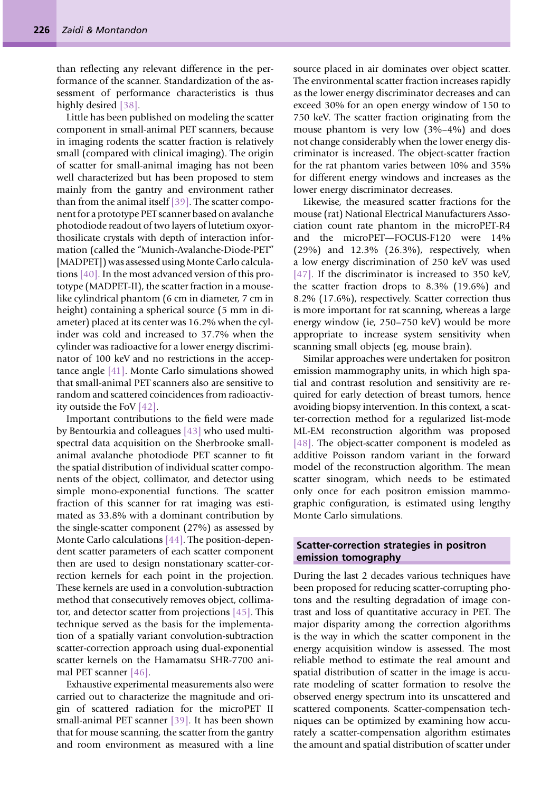than reflecting any relevant difference in the performance of the scanner. Standardization of the assessment of performance characteristics is thus highly desired [38].

Little has been published on modeling the scatter component in small-animal PET scanners, because in imaging rodents the scatter fraction is relatively small (compared with clinical imaging). The origin of scatter for small-animal imaging has not been well characterized but has been proposed to stem mainly from the gantry and environment rather than from the animal itself [39]. The scatter component for a prototype PET scanner based on avalanche photodiode readout of two layers of lutetium oxyorthosilicate crystals with depth of interaction information (called the ''Munich-Avalanche-Diode-PET'' [MADPET]) was assessed using Monte Carlo calculations [40]. In the most advanced version of this prototype (MADPET-II), the scatter fraction in a mouselike cylindrical phantom (6 cm in diameter, 7 cm in height) containing a spherical source (5 mm in diameter) placed at its center was 16.2% when the cylinder was cold and increased to 37.7% when the cylinder was radioactive for a lower energy discriminator of 100 keV and no restrictions in the acceptance angle [41]. Monte Carlo simulations showed that small-animal PET scanners also are sensitive to random and scattered coincidences from radioactivity outside the FoV [42].

Important contributions to the field were made by Bentourkia and colleagues [43] who used multispectral data acquisition on the Sherbrooke smallanimal avalanche photodiode PET scanner to fit the spatial distribution of individual scatter components of the object, collimator, and detector using simple mono-exponential functions. The scatter fraction of this scanner for rat imaging was estimated as 33.8% with a dominant contribution by the single-scatter component (27%) as assessed by Monte Carlo calculations [44]. The position-dependent scatter parameters of each scatter component then are used to design nonstationary scatter-correction kernels for each point in the projection. These kernels are used in a convolution-subtraction method that consecutively removes object, collimator, and detector scatter from projections [45]. This technique served as the basis for the implementation of a spatially variant convolution-subtraction scatter-correction approach using dual-exponential scatter kernels on the Hamamatsu SHR-7700 animal PET scanner [46].

Exhaustive experimental measurements also were carried out to characterize the magnitude and origin of scattered radiation for the microPET II small-animal PET scanner [39]. It has been shown that for mouse scanning, the scatter from the gantry and room environment as measured with a line

source placed in air dominates over object scatter. The environmental scatter fraction increases rapidly as the lower energy discriminator decreases and can exceed 30% for an open energy window of 150 to 750 keV. The scatter fraction originating from the mouse phantom is very low (3%–4%) and does not change considerably when the lower energy discriminator is increased. The object-scatter fraction for the rat phantom varies between 10% and 35% for different energy windows and increases as the lower energy discriminator decreases.

Likewise, the measured scatter fractions for the mouse (rat) National Electrical Manufacturers Association count rate phantom in the microPET-R4 and the microPET—FOCUS-F120 were 14% (29%) and 12.3% (26.3%), respectively, when a low energy discrimination of 250 keV was used [47]. If the discriminator is increased to 350 keV, the scatter fraction drops to 8.3% (19.6%) and 8.2% (17.6%), respectively. Scatter correction thus is more important for rat scanning, whereas a large energy window (ie, 250–750 keV) would be more appropriate to increase system sensitivity when scanning small objects (eg, mouse brain).

Similar approaches were undertaken for positron emission mammography units, in which high spatial and contrast resolution and sensitivity are required for early detection of breast tumors, hence avoiding biopsy intervention. In this context, a scatter-correction method for a regularized list-mode ML-EM reconstruction algorithm was proposed [48]. The object-scatter component is modeled as additive Poisson random variant in the forward model of the reconstruction algorithm. The mean scatter sinogram, which needs to be estimated only once for each positron emission mammographic configuration, is estimated using lengthy Monte Carlo simulations.

## Scatter-correction strategies in positron emission tomography

During the last 2 decades various techniques have been proposed for reducing scatter-corrupting photons and the resulting degradation of image contrast and loss of quantitative accuracy in PET. The major disparity among the correction algorithms is the way in which the scatter component in the energy acquisition window is assessed. The most reliable method to estimate the real amount and spatial distribution of scatter in the image is accurate modeling of scatter formation to resolve the observed energy spectrum into its unscattered and scattered components. Scatter-compensation techniques can be optimized by examining how accurately a scatter-compensation algorithm estimates the amount and spatial distribution of scatter under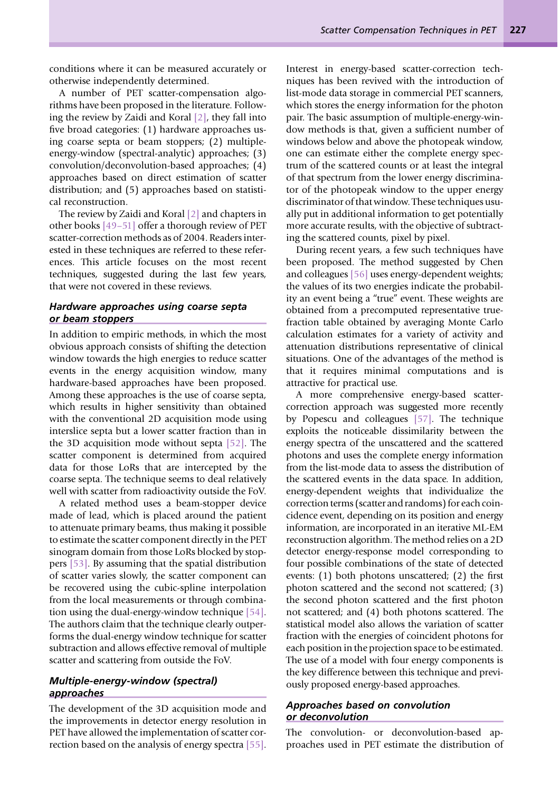conditions where it can be measured accurately or otherwise independently determined.

A number of PET scatter-compensation algorithms have been proposed in the literature. Following the review by Zaidi and Koral [2], they fall into five broad categories: (1) hardware approaches using coarse septa or beam stoppers; (2) multipleenergy-window (spectral-analytic) approaches; (3) convolution/deconvolution-based approaches; (4) approaches based on direct estimation of scatter distribution; and (5) approaches based on statistical reconstruction.

The review by Zaidi and Koral [2] and chapters in other books [49–51] offer a thorough review of PET scatter-correction methods as of 2004. Readers interested in these techniques are referred to these references. This article focuses on the most recent techniques, suggested during the last few years, that were not covered in these reviews.

## Hardware approaches using coarse septa or beam stoppers

In addition to empiric methods, in which the most obvious approach consists of shifting the detection window towards the high energies to reduce scatter events in the energy acquisition window, many hardware-based approaches have been proposed. Among these approaches is the use of coarse septa, which results in higher sensitivity than obtained with the conventional 2D acquisition mode using interslice septa but a lower scatter fraction than in the 3D acquisition mode without septa [52]. The scatter component is determined from acquired data for those LoRs that are intercepted by the coarse septa. The technique seems to deal relatively well with scatter from radioactivity outside the FoV.

A related method uses a beam-stopper device made of lead, which is placed around the patient to attenuate primary beams, thus making it possible to estimate the scatter component directly in the PET sinogram domain from those LoRs blocked by stoppers [53]. By assuming that the spatial distribution of scatter varies slowly, the scatter component can be recovered using the cubic-spline interpolation from the local measurements or through combination using the dual-energy-window technique [54]. The authors claim that the technique clearly outperforms the dual-energy window technique for scatter subtraction and allows effective removal of multiple scatter and scattering from outside the FoV.

## Multiple-energy-window (spectral) approaches

The development of the 3D acquisition mode and the improvements in detector energy resolution in PET have allowed the implementation of scatter correction based on the analysis of energy spectra [55]. Interest in energy-based scatter-correction techniques has been revived with the introduction of list-mode data storage in commercial PET scanners, which stores the energy information for the photon pair. The basic assumption of multiple-energy-window methods is that, given a sufficient number of windows below and above the photopeak window, one can estimate either the complete energy spectrum of the scattered counts or at least the integral of that spectrum from the lower energy discriminator of the photopeak window to the upper energy discriminator of that window. These techniques usually put in additional information to get potentially more accurate results, with the objective of subtracting the scattered counts, pixel by pixel.

During recent years, a few such techniques have been proposed. The method suggested by Chen and colleagues [56] uses energy-dependent weights; the values of its two energies indicate the probability an event being a ''true'' event. These weights are obtained from a precomputed representative truefraction table obtained by averaging Monte Carlo calculation estimates for a variety of activity and attenuation distributions representative of clinical situations. One of the advantages of the method is that it requires minimal computations and is attractive for practical use.

A more comprehensive energy-based scattercorrection approach was suggested more recently by Popescu and colleagues [57]. The technique exploits the noticeable dissimilarity between the energy spectra of the unscattered and the scattered photons and uses the complete energy information from the list-mode data to assess the distribution of the scattered events in the data space. In addition, energy-dependent weights that individualize the correction terms (scatter and randoms) for each coincidence event, depending on its position and energy information, are incorporated in an iterative ML-EM reconstruction algorithm. The method relies on a 2D detector energy-response model corresponding to four possible combinations of the state of detected events: (1) both photons unscattered; (2) the first photon scattered and the second not scattered; (3) the second photon scattered and the first photon not scattered; and (4) both photons scattered. The statistical model also allows the variation of scatter fraction with the energies of coincident photons for each position in the projection space to be estimated. The use of a model with four energy components is the key difference between this technique and previously proposed energy-based approaches.

# Approaches based on convolution or deconvolution

The convolution- or deconvolution-based approaches used in PET estimate the distribution of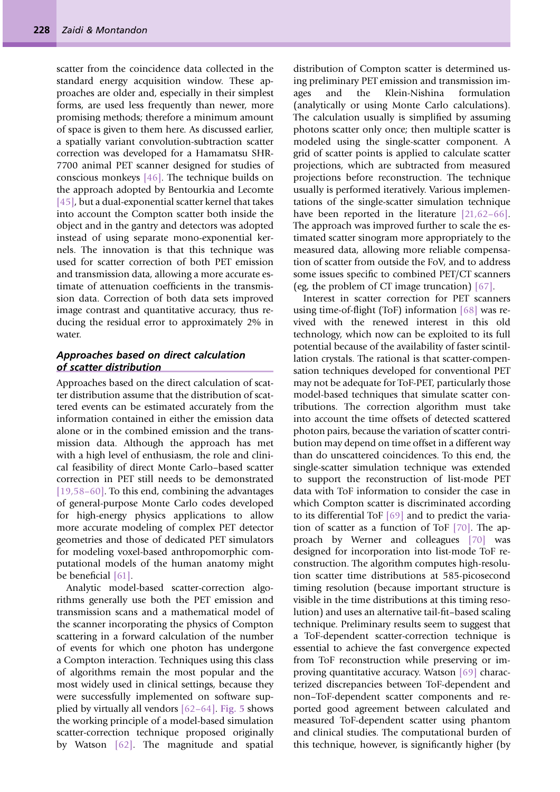scatter from the coincidence data collected in the standard energy acquisition window. These approaches are older and, especially in their simplest forms, are used less frequently than newer, more promising methods; therefore a minimum amount of space is given to them here. As discussed earlier, a spatially variant convolution-subtraction scatter correction was developed for a Hamamatsu SHR-7700 animal PET scanner designed for studies of conscious monkeys [46]. The technique builds on the approach adopted by Bentourkia and Lecomte [45], but a dual-exponential scatter kernel that takes into account the Compton scatter both inside the object and in the gantry and detectors was adopted instead of using separate mono-exponential kernels. The innovation is that this technique was used for scatter correction of both PET emission and transmission data, allowing a more accurate estimate of attenuation coefficients in the transmission data. Correction of both data sets improved image contrast and quantitative accuracy, thus reducing the residual error to approximately 2% in water.

# Approaches based on direct calculation of scatter distribution

Approaches based on the direct calculation of scatter distribution assume that the distribution of scattered events can be estimated accurately from the information contained in either the emission data alone or in the combined emission and the transmission data. Although the approach has met with a high level of enthusiasm, the role and clinical feasibility of direct Monte Carlo–based scatter correction in PET still needs to be demonstrated [19,58–60]. To this end, combining the advantages of general-purpose Monte Carlo codes developed for high-energy physics applications to allow more accurate modeling of complex PET detector geometries and those of dedicated PET simulators for modeling voxel-based anthropomorphic computational models of the human anatomy might be beneficial [61].

Analytic model-based scatter-correction algorithms generally use both the PET emission and transmission scans and a mathematical model of the scanner incorporating the physics of Compton scattering in a forward calculation of the number of events for which one photon has undergone a Compton interaction. Techniques using this class of algorithms remain the most popular and the most widely used in clinical settings, because they were successfully implemented on software supplied by virtually all vendors  $[62-64]$ . Fig. 5 shows the working principle of a model-based simulation scatter-correction technique proposed originally by Watson [62]. The magnitude and spatial

distribution of Compton scatter is determined using preliminary PET emission and transmission images and the Klein-Nishina formulation (analytically or using Monte Carlo calculations). The calculation usually is simplified by assuming photons scatter only once; then multiple scatter is modeled using the single-scatter component. A grid of scatter points is applied to calculate scatter projections, which are subtracted from measured projections before reconstruction. The technique usually is performed iteratively. Various implementations of the single-scatter simulation technique have been reported in the literature [21,62–66]. The approach was improved further to scale the estimated scatter sinogram more appropriately to the measured data, allowing more reliable compensation of scatter from outside the FoV, and to address some issues specific to combined PET/CT scanners (eg, the problem of CT image truncation) [67].

Interest in scatter correction for PET scanners using time-of-flight (ToF) information  $[68]$  was revived with the renewed interest in this old technology, which now can be exploited to its full potential because of the availability of faster scintillation crystals. The rational is that scatter-compensation techniques developed for conventional PET may not be adequate for ToF-PET, particularly those model-based techniques that simulate scatter contributions. The correction algorithm must take into account the time offsets of detected scattered photon pairs, because the variation of scatter contribution may depend on time offset in a different way than do unscattered coincidences. To this end, the single-scatter simulation technique was extended to support the reconstruction of list-mode PET data with ToF information to consider the case in which Compton scatter is discriminated according to its differential ToF [69] and to predict the variation of scatter as a function of ToF [70]. The approach by Werner and colleagues [70] was designed for incorporation into list-mode ToF reconstruction. The algorithm computes high-resolution scatter time distributions at 585-picosecond timing resolution (because important structure is visible in the time distributions at this timing resolution) and uses an alternative tail-fit–based scaling technique. Preliminary results seem to suggest that a ToF-dependent scatter-correction technique is essential to achieve the fast convergence expected from ToF reconstruction while preserving or improving quantitative accuracy. Watson [69] characterized discrepancies between ToF-dependent and non–ToF-dependent scatter components and reported good agreement between calculated and measured ToF-dependent scatter using phantom and clinical studies. The computational burden of this technique, however, is significantly higher (by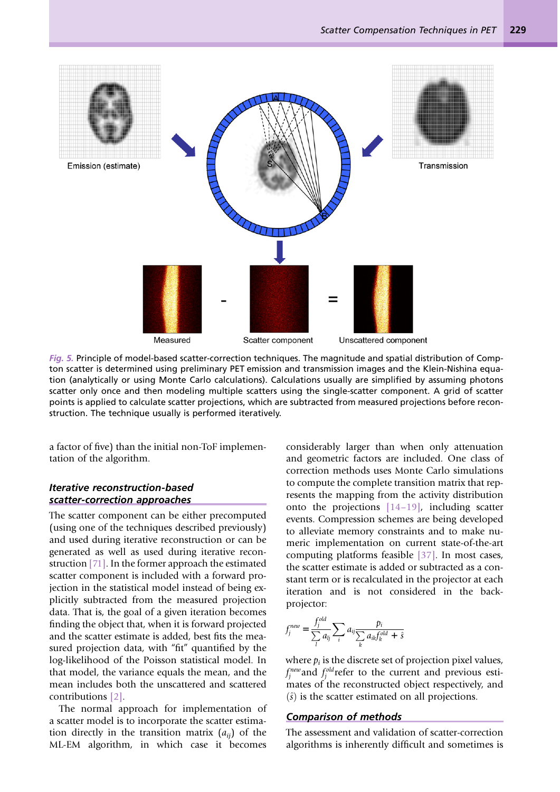

Fig. 5. Principle of model-based scatter-correction techniques. The magnitude and spatial distribution of Compton scatter is determined using preliminary PET emission and transmission images and the Klein-Nishina equation (analytically or using Monte Carlo calculations). Calculations usually are simplified by assuming photons scatter only once and then modeling multiple scatters using the single-scatter component. A grid of scatter points is applied to calculate scatter projections, which are subtracted from measured projections before reconstruction. The technique usually is performed iteratively.

a factor of five) than the initial non-ToF implementation of the algorithm.

### Iterative reconstruction-based scatter-correction approaches

The scatter component can be either precomputed (using one of the techniques described previously) and used during iterative reconstruction or can be generated as well as used during iterative reconstruction [71]. In the former approach the estimated scatter component is included with a forward projection in the statistical model instead of being explicitly subtracted from the measured projection data. That is, the goal of a given iteration becomes finding the object that, when it is forward projected and the scatter estimate is added, best fits the measured projection data, with "fit" quantified by the log-likelihood of the Poisson statistical model. In that model, the variance equals the mean, and the mean includes both the unscattered and scattered contributions [2].

The normal approach for implementation of a scatter model is to incorporate the scatter estimation directly in the transition matrix  $(a_{ij})$  of the ML-EM algorithm, in which case it becomes

considerably larger than when only attenuation and geometric factors are included. One class of correction methods uses Monte Carlo simulations to compute the complete transition matrix that represents the mapping from the activity distribution onto the projections [14–19], including scatter events. Compression schemes are being developed to alleviate memory constraints and to make numeric implementation on current state-of-the-art computing platforms feasible [37]. In most cases, the scatter estimate is added or subtracted as a constant term or is recalculated in the projector at each iteration and is not considered in the backprojector:

$$
f_j^{new} = \frac{f_j^{old}}{\sum_l a_{lj}} \sum_i a_{ij} \frac{p_i}{\sum_k a_{ik} f_k^{old} + \hat{s}}
$$

where  $p_i$  is the discrete set of projection pixel values,  $f_j^{new}$  and  $f_j^{old}$  refer to the current and previous estimates of the reconstructed object respectively, and  $(\hat{s})$  is the scatter estimated on all projections.

#### Comparison of methods

The assessment and validation of scatter-correction algorithms is inherently difficult and sometimes is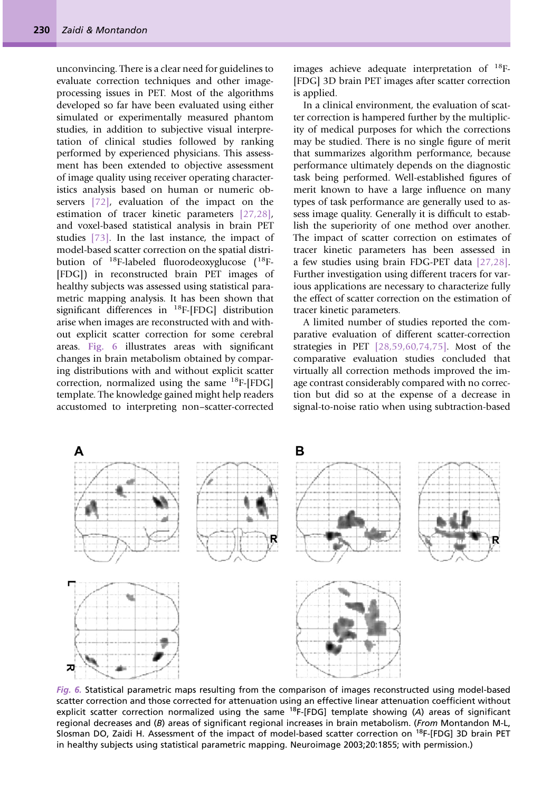unconvincing. There is a clear need for guidelines to evaluate correction techniques and other imageprocessing issues in PET. Most of the algorithms developed so far have been evaluated using either simulated or experimentally measured phantom studies, in addition to subjective visual interpretation of clinical studies followed by ranking performed by experienced physicians. This assessment has been extended to objective assessment of image quality using receiver operating characteristics analysis based on human or numeric observers [72], evaluation of the impact on the estimation of tracer kinetic parameters [27,28], and voxel-based statistical analysis in brain PET studies [73]. In the last instance, the impact of model-based scatter correction on the spatial distribution of 18F-labeled fluorodeoxyglucose (18F- [FDG]) in reconstructed brain PET images of healthy subjects was assessed using statistical parametric mapping analysis. It has been shown that significant differences in 18F-[FDG] distribution arise when images are reconstructed with and without explicit scatter correction for some cerebral areas. Fig. 6 illustrates areas with significant changes in brain metabolism obtained by comparing distributions with and without explicit scatter correction, normalized using the same  $^{18}$ F-[FDG] template. The knowledge gained might help readers accustomed to interpreting non–scatter-corrected

images achieve adequate interpretation of 18F- [FDG] 3D brain PET images after scatter correction is applied.

In a clinical environment, the evaluation of scatter correction is hampered further by the multiplicity of medical purposes for which the corrections may be studied. There is no single figure of merit that summarizes algorithm performance, because performance ultimately depends on the diagnostic task being performed. Well-established figures of merit known to have a large influence on many types of task performance are generally used to assess image quality. Generally it is difficult to establish the superiority of one method over another. The impact of scatter correction on estimates of tracer kinetic parameters has been assessed in a few studies using brain FDG-PET data [27,28]. Further investigation using different tracers for various applications are necessary to characterize fully the effect of scatter correction on the estimation of tracer kinetic parameters.

A limited number of studies reported the comparative evaluation of different scatter-correction strategies in PET [28,59,60,74,75]. Most of the comparative evaluation studies concluded that virtually all correction methods improved the image contrast considerably compared with no correction but did so at the expense of a decrease in signal-to-noise ratio when using subtraction-based



Fig. 6. Statistical parametric maps resulting from the comparison of images reconstructed using model-based scatter correction and those corrected for attenuation using an effective linear attenuation coefficient without explicit scatter correction normalized using the same  $^{18}F$ -[FDG] template showing (A) areas of significant regional decreases and (B) areas of significant regional increases in brain metabolism. (From Montandon M-L, Slosman DO, Zaidi H. Assessment of the impact of model-based scatter correction on 18F-[FDG] 3D brain PET in healthy subjects using statistical parametric mapping. Neuroimage 2003;20:1855; with permission.)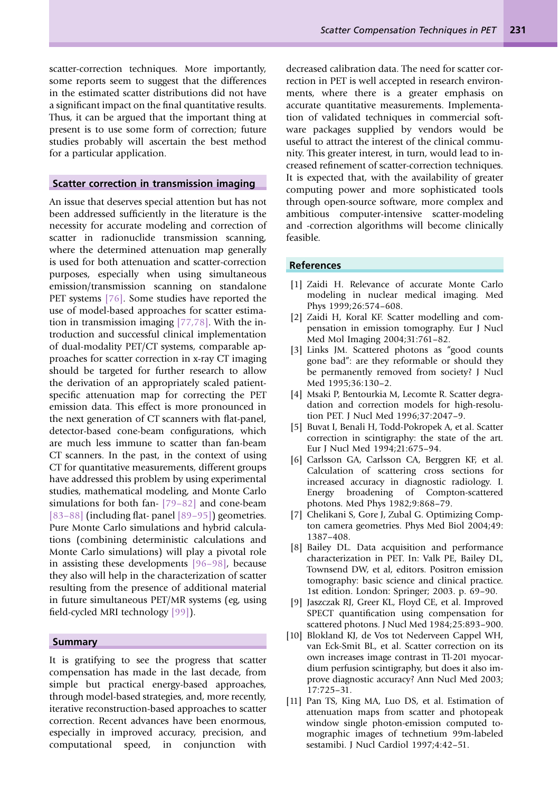scatter-correction techniques. More importantly, some reports seem to suggest that the differences in the estimated scatter distributions did not have a significant impact on the final quantitative results. Thus, it can be argued that the important thing at present is to use some form of correction; future studies probably will ascertain the best method for a particular application.

#### Scatter correction in transmission imaging

An issue that deserves special attention but has not been addressed sufficiently in the literature is the necessity for accurate modeling and correction of scatter in radionuclide transmission scanning, where the determined attenuation map generally is used for both attenuation and scatter-correction purposes, especially when using simultaneous emission/transmission scanning on standalone PET systems [76]. Some studies have reported the use of model-based approaches for scatter estimation in transmission imaging [77,78]. With the introduction and successful clinical implementation of dual-modality PET/CT systems, comparable approaches for scatter correction in x-ray CT imaging should be targeted for further research to allow the derivation of an appropriately scaled patientspecific attenuation map for correcting the PET emission data. This effect is more pronounced in the next generation of CT scanners with flat-panel, detector-based cone-beam configurations, which are much less immune to scatter than fan-beam CT scanners. In the past, in the context of using CT for quantitative measurements, different groups have addressed this problem by using experimental studies, mathematical modeling, and Monte Carlo simulations for both fan- [79–82] and cone-beam [83–88] (including flat- panel [89–95]) geometries. Pure Monte Carlo simulations and hybrid calculations (combining deterministic calculations and Monte Carlo simulations) will play a pivotal role in assisting these developments [96–98], because they also will help in the characterization of scatter resulting from the presence of additional material in future simultaneous PET/MR systems (eg, using field-cycled MRI technology [99]).

#### **Summary**

It is gratifying to see the progress that scatter compensation has made in the last decade, from simple but practical energy-based approaches, through model-based strategies, and, more recently, iterative reconstruction-based approaches to scatter correction. Recent advances have been enormous, especially in improved accuracy, precision, and computational speed, in conjunction with

decreased calibration data. The need for scatter correction in PET is well accepted in research environments, where there is a greater emphasis on accurate quantitative measurements. Implementation of validated techniques in commercial software packages supplied by vendors would be useful to attract the interest of the clinical community. This greater interest, in turn, would lead to increased refinement of scatter-correction techniques. It is expected that, with the availability of greater computing power and more sophisticated tools through open-source software, more complex and ambitious computer-intensive scatter-modeling and -correction algorithms will become clinically feasible.

#### References

- [1] Zaidi H. Relevance of accurate Monte Carlo modeling in nuclear medical imaging. Med Phys 1999;26:574–608.
- [2] Zaidi H, Koral KF. Scatter modelling and compensation in emission tomography. Eur J Nucl Med Mol Imaging 2004;31:761–82.
- [3] Links JM. Scattered photons as "good counts gone bad'': are they reformable or should they be permanently removed from society? J Nucl Med 1995;36:130–2.
- [4] Msaki P, Bentourkia M, Lecomte R. Scatter degradation and correction models for high-resolution PET. J Nucl Med 1996;37:2047–9.
- [5] Buvat I, Benali H, Todd-Pokropek A, et al. Scatter correction in scintigraphy: the state of the art. Eur J Nucl Med 1994;21:675–94.
- [6] Carlsson GA, Carlsson CA, Berggren KF, et al. Calculation of scattering cross sections for increased accuracy in diagnostic radiology. I. Energy broadening of Compton-scattered photons. Med Phys 1982;9:868–79.
- [7] Chelikani S, Gore J, Zubal G. Optimizing Compton camera geometries. Phys Med Biol 2004;49: 1387–408.
- [8] Bailey DL. Data acquisition and performance characterization in PET. In: Valk PE, Bailey DL, Townsend DW, et al, editors. Positron emission tomography: basic science and clinical practice. 1st edition. London: Springer; 2003. p. 69–90.
- [9] Jaszczak RJ, Greer KL, Floyd CE, et al. Improved SPECT quantification using compensation for scattered photons. J Nucl Med 1984;25:893–900.
- [10] Blokland KJ, de Vos tot Nederveen Cappel WH, van Eck-Smit BL, et al. Scatter correction on its own increases image contrast in Tl-201 myocardium perfusion scintigraphy, but does it also improve diagnostic accuracy? Ann Nucl Med 2003; 17:725–31.
- [11] Pan TS, King MA, Luo DS, et al. Estimation of attenuation maps from scatter and photopeak window single photon-emission computed tomographic images of technetium 99m-labeled sestamibi. J Nucl Cardiol 1997;4:42–51.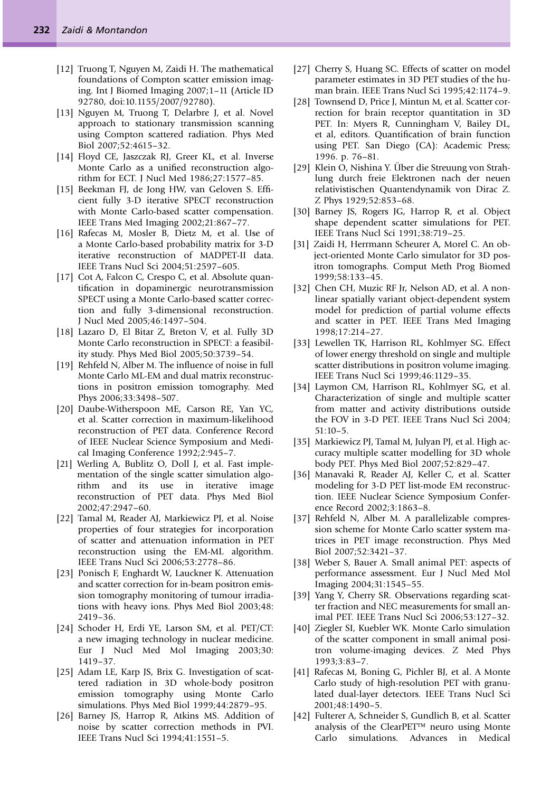- [12] Truong T, Nguyen M, Zaidi H. The mathematical foundations of Compton scatter emission imaging. Int J Biomed Imaging 2007;1–11 (Article ID 92780, doi:10.1155/2007/92780).
- [13] Nguyen M, Truong T, Delarbre J, et al. Novel approach to stationary transmission scanning using Compton scattered radiation. Phys Med Biol 2007;52:4615–32.
- [14] Floyd CE, Jaszczak RJ, Greer KL, et al. Inverse Monte Carlo as a unified reconstruction algorithm for ECT. J Nucl Med 1986;27:1577–85.
- [15] Beekman FJ, de Jong HW, van Geloven S. Efficient fully 3-D iterative SPECT reconstruction with Monte Carlo-based scatter compensation. IEEE Trans Med Imaging 2002;21:867–77.
- [16] Rafecas M, Mosler B, Dietz M, et al. Use of a Monte Carlo-based probability matrix for 3-D iterative reconstruction of MADPET-II data. IEEE Trans Nucl Sci 2004;51:2597–605.
- [17] Cot A, Falcon C, Crespo C, et al. Absolute quantification in dopaminergic neurotransmission SPECT using a Monte Carlo-based scatter correction and fully 3-dimensional reconstruction. J Nucl Med 2005;46:1497–504.
- [18] Lazaro D, El Bitar Z, Breton V, et al. Fully 3D Monte Carlo reconstruction in SPECT: a feasibility study. Phys Med Biol 2005;50:3739–54.
- [19] Rehfeld N, Alber M. The influence of noise in full Monte Carlo ML-EM and dual matrix reconstructions in positron emission tomography. Med Phys 2006;33:3498–507.
- [20] Daube-Witherspoon ME, Carson RE, Yan YC, et al. Scatter correction in maximum-likelihood reconstruction of PET data. Conference Record of IEEE Nuclear Science Symposium and Medical Imaging Conference 1992;2:945–7.
- [21] Werling A, Bublitz O, Doll J, et al. Fast implementation of the single scatter simulation algorithm and its use in iterative image reconstruction of PET data. Phys Med Biol 2002;47:2947–60.
- [22] Tamal M, Reader AJ, Markiewicz PJ, et al. Noise properties of four strategies for incorporation of scatter and attenuation information in PET reconstruction using the EM-ML algorithm. IEEE Trans Nucl Sci 2006;53:2778–86.
- [23] Ponisch F, Enghardt W, Lauckner K. Attenuation and scatter correction for in-beam positron emission tomography monitoring of tumour irradiations with heavy ions. Phys Med Biol 2003;48: 2419–36.
- [24] Schoder H, Erdi YE, Larson SM, et al. PET/CT: a new imaging technology in nuclear medicine. Eur J Nucl Med Mol Imaging 2003;30: 1419–37.
- [25] Adam LE, Karp JS, Brix G. Investigation of scattered radiation in 3D whole-body positron emission tomography using Monte Carlo simulations. Phys Med Biol 1999;44:2879–95.
- [26] Barney JS, Harrop R, Atkins MS. Addition of noise by scatter correction methods in PVI. IEEE Trans Nucl Sci 1994;41:1551–5.
- [27] Cherry S, Huang SC. Effects of scatter on model parameter estimates in 3D PET studies of the human brain. IEEE Trans Nucl Sci 1995;42:1174–9.
- [28] Townsend D, Price J, Mintun M, et al. Scatter correction for brain receptor quantitation in 3D PET. In: Myers R, Cunningham V, Bailey DL, et al, editors. Quantification of brain function using PET. San Diego (CA): Academic Press; 1996. p. 76–81.
- [29] Klein O, Nishina Y. Über die Streuung von Strahlung durch freie Elektronen nach der neuen relativistischen Quantendynamik von Dirac Z. Z Phys 1929;52:853–68.
- [30] Barney JS, Rogers JG, Harrop R, et al. Object shape dependent scatter simulations for PET. IEEE Trans Nucl Sci 1991;38:719–25.
- [31] Zaidi H, Herrmann Scheurer A, Morel C. An object-oriented Monte Carlo simulator for 3D positron tomographs. Comput Meth Prog Biomed 1999;58:133–45.
- [32] Chen CH, Muzic RF Jr, Nelson AD, et al. A nonlinear spatially variant object-dependent system model for prediction of partial volume effects and scatter in PET. IEEE Trans Med Imaging 1998;17:214–27.
- [33] Lewellen TK, Harrison RL, Kohlmyer SG. Effect of lower energy threshold on single and multiple scatter distributions in positron volume imaging. IEEE Trans Nucl Sci 1999;46:1129–35.
- [34] Laymon CM, Harrison RL, Kohlmyer SG, et al. Characterization of single and multiple scatter from matter and activity distributions outside the FOV in 3-D PET. IEEE Trans Nucl Sci 2004; 51:10–5.
- [35] Markiewicz PJ, Tamal M, Julyan PJ, et al. High accuracy multiple scatter modelling for 3D whole body PET. Phys Med Biol 2007;52:829–47.
- [36] Manavaki R, Reader AJ, Keller C, et al. Scatter modeling for 3-D PET list-mode EM reconstruction. IEEE Nuclear Science Symposium Conference Record 2002;3:1863–8.
- [37] Rehfeld N, Alber M. A parallelizable compression scheme for Monte Carlo scatter system matrices in PET image reconstruction. Phys Med Biol 2007;52:3421–37.
- [38] Weber S, Bauer A. Small animal PET: aspects of performance assessment. Eur J Nucl Med Mol Imaging 2004;31:1545–55.
- [39] Yang Y, Cherry SR. Observations regarding scatter fraction and NEC measurements for small animal PET. IEEE Trans Nucl Sci 2006;53:127–32.
- [40] Ziegler SI, Kuebler WK. Monte Carlo simulation of the scatter component in small animal positron volume-imaging devices. Z Med Phys 1993;3:83–7.
- [41] Rafecas M, Boning G, Pichler BJ, et al. A Monte Carlo study of high-resolution PET with granulated dual-layer detectors. IEEE Trans Nucl Sci 2001;48:1490–5.
- [42] Fulterer A, Schneider S, Gundlich B, et al. Scatter analysis of the ClearPET™ neuro using Monte Carlo simulations. Advances in Medical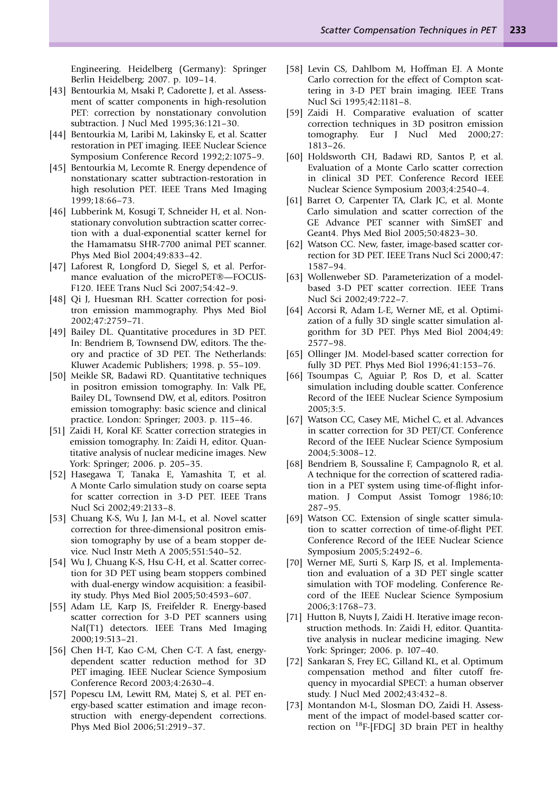Engineering. Heidelberg (Germany): Springer Berlin Heidelberg; 2007. p. 109–14.

- [43] Bentourkia M, Msaki P, Cadorette J, et al. Assessment of scatter components in high-resolution PET: correction by nonstationary convolution subtraction. J Nucl Med 1995;36:121–30.
- [44] Bentourkia M, Laribi M, Lakinsky E, et al. Scatter restoration in PET imaging. IEEE Nuclear Science Symposium Conference Record 1992;2:1075–9.
- [45] Bentourkia M, Lecomte R. Energy dependence of nonstationary scatter subtraction-restoration in high resolution PET. IEEE Trans Med Imaging 1999;18:66–73.
- [46] Lubberink M, Kosugi T, Schneider H, et al. Nonstationary convolution subtraction scatter correction with a dual-exponential scatter kernel for the Hamamatsu SHR-7700 animal PET scanner. Phys Med Biol 2004;49:833–42.
- [47] Laforest R, Longford D, Siegel S, et al. Performance evaluation of the microPET®—FOCUS-F120. IEEE Trans Nucl Sci 2007;54:42–9.
- [48] Qi J, Huesman RH. Scatter correction for positron emission mammography. Phys Med Biol 2002;47:2759–71.
- [49] Bailey DL. Quantitative procedures in 3D PET. In: Bendriem B, Townsend DW, editors. The theory and practice of 3D PET. The Netherlands: Kluwer Academic Publishers; 1998. p. 55–109.
- [50] Meikle SR, Badawi RD. Quantitative techniques in positron emission tomography. In: Valk PE, Bailey DL, Townsend DW, et al, editors. Positron emission tomography: basic science and clinical practice. London: Springer; 2003. p. 115–46.
- [51] Zaidi H, Koral KF. Scatter correction strategies in emission tomography. In: Zaidi H, editor. Quantitative analysis of nuclear medicine images. New York: Springer; 2006. p. 205–35.
- [52] Hasegawa T, Tanaka E, Yamashita T, et al. A Monte Carlo simulation study on coarse septa for scatter correction in 3-D PET. IEEE Trans Nucl Sci 2002;49:2133–8.
- [53] Chuang K-S, Wu J, Jan M-L, et al. Novel scatter correction for three-dimensional positron emission tomography by use of a beam stopper device. Nucl Instr Meth A 2005;551:540–52.
- [54] Wu J, Chuang K-S, Hsu C-H, et al. Scatter correction for 3D PET using beam stoppers combined with dual-energy window acquisition: a feasibility study. Phys Med Biol 2005;50:4593–607.
- [55] Adam LE, Karp JS, Freifelder R. Energy-based scatter correction for 3-D PET scanners using NaI(T1) detectors. IEEE Trans Med Imaging 2000;19:513–21.
- [56] Chen H-T, Kao C-M, Chen C-T. A fast, energydependent scatter reduction method for 3D PET imaging. IEEE Nuclear Science Symposium Conference Record 2003;4:2630–4.
- [57] Popescu LM, Lewitt RM, Matej S, et al. PET energy-based scatter estimation and image reconstruction with energy-dependent corrections. Phys Med Biol 2006;51:2919–37.
- [58] Levin CS, Dahlbom M, Hoffman EJ. A Monte Carlo correction for the effect of Compton scattering in 3-D PET brain imaging. IEEE Trans Nucl Sci 1995;42:1181–8.
- [59] Zaidi H. Comparative evaluation of scatter correction techniques in 3D positron emission tomography. Eur J Nucl Med 2000;27: 1813–26.
- [60] Holdsworth CH, Badawi RD, Santos P, et al. Evaluation of a Monte Carlo scatter correction in clinical 3D PET. Conference Record IEEE Nuclear Science Symposium 2003;4:2540–4.
- [61] Barret O, Carpenter TA, Clark JC, et al. Monte Carlo simulation and scatter correction of the GE Advance PET scanner with SimSET and Geant4. Phys Med Biol 2005;50:4823–30.
- [62] Watson CC. New, faster, image-based scatter correction for 3D PET. IEEE Trans Nucl Sci 2000;47: 1587–94.
- [63] Wollenweber SD. Parameterization of a modelbased 3-D PET scatter correction. IEEE Trans Nucl Sci 2002;49:722–7.
- [64] Accorsi R, Adam L-E, Werner ME, et al. Optimization of a fully 3D single scatter simulation algorithm for 3D PET. Phys Med Biol 2004;49: 2577–98.
- [65] Ollinger JM. Model-based scatter correction for fully 3D PET. Phys Med Biol 1996;41:153–76.
- [66] Tsoumpas C, Aguiar P, Ros D, et al. Scatter simulation including double scatter. Conference Record of the IEEE Nuclear Science Symposium 2005;3:5.
- [67] Watson CC, Casey ME, Michel C, et al. Advances in scatter correction for 3D PET/CT. Conference Record of the IEEE Nuclear Science Symposium 2004;5:3008–12.
- [68] Bendriem B, Soussaline F, Campagnolo R, et al. A technique for the correction of scattered radiation in a PET system using time-of-flight information. J Comput Assist Tomogr 1986;10: 287–95.
- [69] Watson CC. Extension of single scatter simulation to scatter correction of time-of-flight PET. Conference Record of the IEEE Nuclear Science Symposium 2005;5:2492–6.
- [70] Werner ME, Surti S, Karp JS, et al. Implementation and evaluation of a 3D PET single scatter simulation with TOF modeling. Conference Record of the IEEE Nuclear Science Symposium 2006;3:1768–73.
- [71] Hutton B, Nuyts J, Zaidi H. Iterative image reconstruction methods. In: Zaidi H, editor. Quantitative analysis in nuclear medicine imaging. New York: Springer; 2006. p. 107–40.
- [72] Sankaran S, Frey EC, Gilland KL, et al. Optimum compensation method and filter cutoff frequency in myocardial SPECT: a human observer study. J Nucl Med 2002;43:432–8.
- [73] Montandon M-L, Slosman DO, Zaidi H. Assessment of the impact of model-based scatter correction on 18F-[FDG] 3D brain PET in healthy